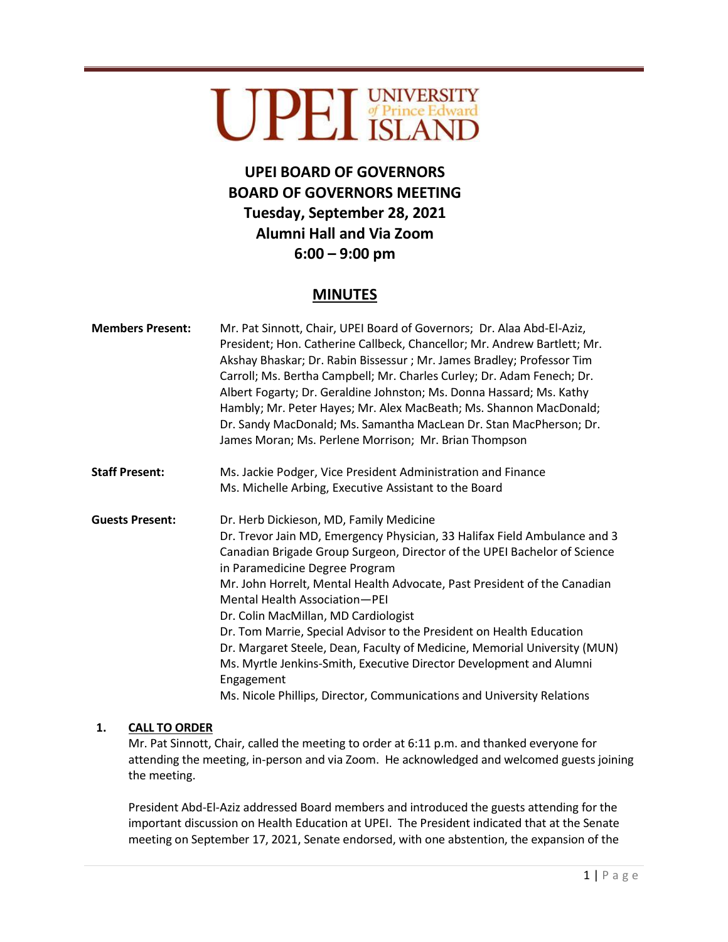# UPEI UNIVERSITY

# **UPEI BOARD OF GOVERNORS BOARD OF GOVERNORS MEETING Tuesday, September 28, 2021 Alumni Hall and Via Zoom 6:00 – 9:00 pm**

# **MINUTES**

| <b>Members Present:</b> | Mr. Pat Sinnott, Chair, UPEI Board of Governors; Dr. Alaa Abd-El-Aziz,<br>President; Hon. Catherine Callbeck, Chancellor; Mr. Andrew Bartlett; Mr.<br>Akshay Bhaskar; Dr. Rabin Bissessur; Mr. James Bradley; Professor Tim<br>Carroll; Ms. Bertha Campbell; Mr. Charles Curley; Dr. Adam Fenech; Dr.<br>Albert Fogarty; Dr. Geraldine Johnston; Ms. Donna Hassard; Ms. Kathy<br>Hambly; Mr. Peter Hayes; Mr. Alex MacBeath; Ms. Shannon MacDonald;<br>Dr. Sandy MacDonald; Ms. Samantha MacLean Dr. Stan MacPherson; Dr.<br>James Moran; Ms. Perlene Morrison; Mr. Brian Thompson                                                                                                                          |
|-------------------------|-------------------------------------------------------------------------------------------------------------------------------------------------------------------------------------------------------------------------------------------------------------------------------------------------------------------------------------------------------------------------------------------------------------------------------------------------------------------------------------------------------------------------------------------------------------------------------------------------------------------------------------------------------------------------------------------------------------|
| <b>Staff Present:</b>   | Ms. Jackie Podger, Vice President Administration and Finance<br>Ms. Michelle Arbing, Executive Assistant to the Board                                                                                                                                                                                                                                                                                                                                                                                                                                                                                                                                                                                       |
| <b>Guests Present:</b>  | Dr. Herb Dickieson, MD, Family Medicine<br>Dr. Trevor Jain MD, Emergency Physician, 33 Halifax Field Ambulance and 3<br>Canadian Brigade Group Surgeon, Director of the UPEI Bachelor of Science<br>in Paramedicine Degree Program<br>Mr. John Horrelt, Mental Health Advocate, Past President of the Canadian<br>Mental Health Association-PEI<br>Dr. Colin MacMillan, MD Cardiologist<br>Dr. Tom Marrie, Special Advisor to the President on Health Education<br>Dr. Margaret Steele, Dean, Faculty of Medicine, Memorial University (MUN)<br>Ms. Myrtle Jenkins-Smith, Executive Director Development and Alumni<br>Engagement<br>Ms. Nicole Phillips, Director, Communications and University Relations |

# **1. CALL TO ORDER**

Mr. Pat Sinnott, Chair, called the meeting to order at 6:11 p.m. and thanked everyone for attending the meeting, in-person and via Zoom. He acknowledged and welcomed guests joining the meeting.

President Abd-El-Aziz addressed Board members and introduced the guests attending for the important discussion on Health Education at UPEI. The President indicated that at the Senate meeting on September 17, 2021, Senate endorsed, with one abstention, the expansion of the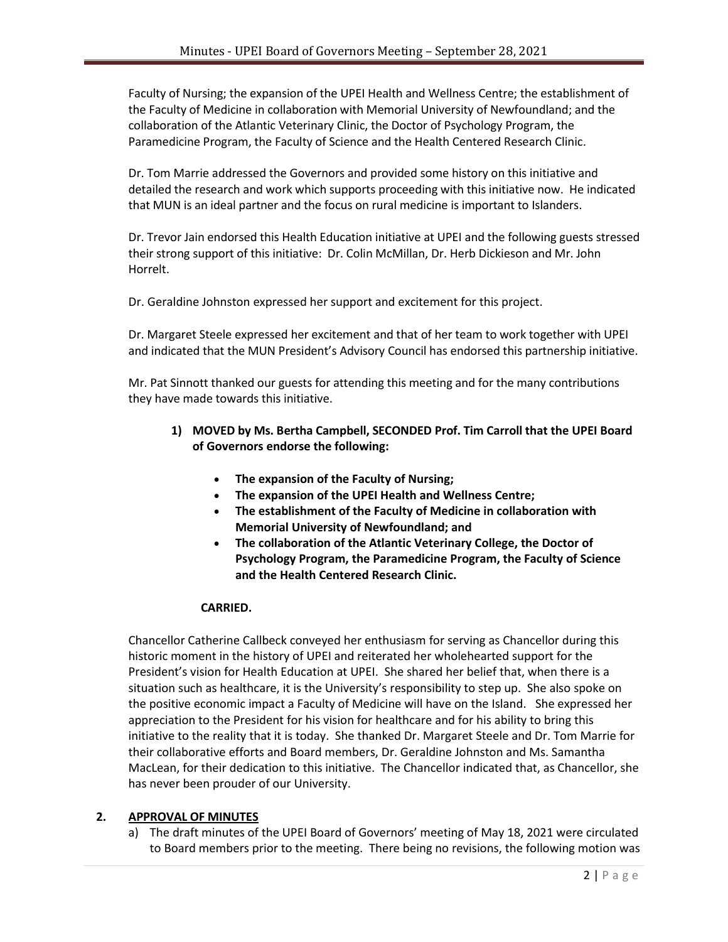Faculty of Nursing; the expansion of the UPEI Health and Wellness Centre; the establishment of the Faculty of Medicine in collaboration with Memorial University of Newfoundland; and the collaboration of the Atlantic Veterinary Clinic, the Doctor of Psychology Program, the Paramedicine Program, the Faculty of Science and the Health Centered Research Clinic.

Dr. Tom Marrie addressed the Governors and provided some history on this initiative and detailed the research and work which supports proceeding with this initiative now. He indicated that MUN is an ideal partner and the focus on rural medicine is important to Islanders.

Dr. Trevor Jain endorsed this Health Education initiative at UPEI and the following guests stressed their strong support of this initiative: Dr. Colin McMillan, Dr. Herb Dickieson and Mr. John Horrelt.

Dr. Geraldine Johnston expressed her support and excitement for this project.

Dr. Margaret Steele expressed her excitement and that of her team to work together with UPEI and indicated that the MUN President's Advisory Council has endorsed this partnership initiative.

Mr. Pat Sinnott thanked our guests for attending this meeting and for the many contributions they have made towards this initiative.

# **1) MOVED by Ms. Bertha Campbell, SECONDED Prof. Tim Carroll that the UPEI Board of Governors endorse the following:**

- **The expansion of the Faculty of Nursing;**
- **The expansion of the UPEI Health and Wellness Centre;**
- **The establishment of the Faculty of Medicine in collaboration with Memorial University of Newfoundland; and**
- **The collaboration of the Atlantic Veterinary College, the Doctor of Psychology Program, the Paramedicine Program, the Faculty of Science and the Health Centered Research Clinic.**

#### **CARRIED.**

Chancellor Catherine Callbeck conveyed her enthusiasm for serving as Chancellor during this historic moment in the history of UPEI and reiterated her wholehearted support for the President's vision for Health Education at UPEI. She shared her belief that, when there is a situation such as healthcare, it is the University's responsibility to step up. She also spoke on the positive economic impact a Faculty of Medicine will have on the Island. She expressed her appreciation to the President for his vision for healthcare and for his ability to bring this initiative to the reality that it is today. She thanked Dr. Margaret Steele and Dr. Tom Marrie for their collaborative efforts and Board members, Dr. Geraldine Johnston and Ms. Samantha MacLean, for their dedication to this initiative. The Chancellor indicated that, as Chancellor, she has never been prouder of our University.

#### **2. APPROVAL OF MINUTES**

a) The draft minutes of the UPEI Board of Governors' meeting of May 18, 2021 were circulated to Board members prior to the meeting. There being no revisions, the following motion was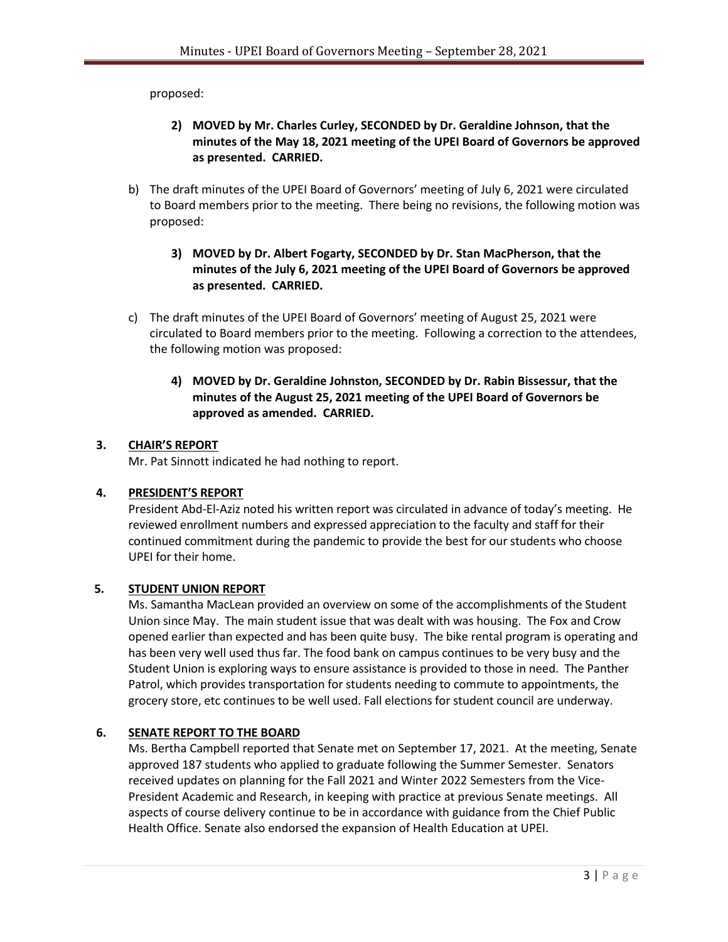proposed:

- **2) MOVED by Mr. Charles Curley, SECONDED by Dr. Geraldine Johnson, that the minutes of the May 18, 2021 meeting of the UPEI Board of Governors be approved as presented. CARRIED.**
- b) The draft minutes of the UPEI Board of Governors' meeting of July 6, 2021 were circulated to Board members prior to the meeting. There being no revisions, the following motion was proposed:
	- **3) MOVED by Dr. Albert Fogarty, SECONDED by Dr. Stan MacPherson, that the minutes of the July 6, 2021 meeting of the UPEI Board of Governors be approved as presented. CARRIED.**
- c) The draft minutes of the UPEI Board of Governors' meeting of August 25, 2021 were circulated to Board members prior to the meeting. Following a correction to the attendees, the following motion was proposed:
	- **4) MOVED by Dr. Geraldine Johnston, SECONDED by Dr. Rabin Bissessur, that the minutes of the August 25, 2021 meeting of the UPEI Board of Governors be approved as amended. CARRIED.**

#### **3. CHAIR'S REPORT**

Mr. Pat Sinnott indicated he had nothing to report.

#### **4. PRESIDENT'S REPORT**

President Abd-El-Aziz noted his written report was circulated in advance of today's meeting. He reviewed enrollment numbers and expressed appreciation to the faculty and staff for their continued commitment during the pandemic to provide the best for our students who choose UPEI for their home.

#### **5. STUDENT UNION REPORT**

Ms. Samantha MacLean provided an overview on some of the accomplishments of the Student Union since May. The main student issue that was dealt with was housing. The Fox and Crow opened earlier than expected and has been quite busy. The bike rental program is operating and has been very well used thus far. The food bank on campus continues to be very busy and the Student Union is exploring ways to ensure assistance is provided to those in need. The Panther Patrol, which provides transportation for students needing to commute to appointments, the grocery store, etc continues to be well used. Fall elections for student council are underway.

# **6. SENATE REPORT TO THE BOARD**

Ms. Bertha Campbell reported that Senate met on September 17, 2021. At the meeting, Senate approved 187 students who applied to graduate following the Summer Semester. Senators received updates on planning for the Fall 2021 and Winter 2022 Semesters from the Vice-President Academic and Research, in keeping with practice at previous Senate meetings. All aspects of course delivery continue to be in accordance with guidance from the Chief Public Health Office. Senate also endorsed the expansion of Health Education at UPEI.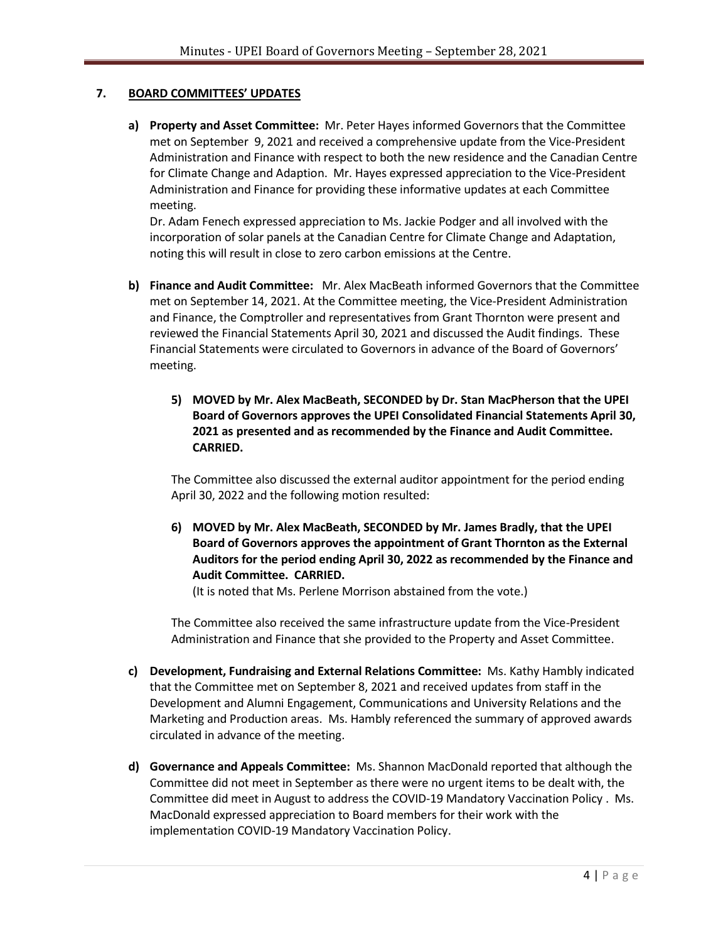#### **7. BOARD COMMITTEES' UPDATES**

**a) Property and Asset Committee:** Mr. Peter Hayes informed Governors that the Committee met on September 9, 2021 and received a comprehensive update from the Vice-President Administration and Finance with respect to both the new residence and the Canadian Centre for Climate Change and Adaption. Mr. Hayes expressed appreciation to the Vice-President Administration and Finance for providing these informative updates at each Committee meeting.

Dr. Adam Fenech expressed appreciation to Ms. Jackie Podger and all involved with the incorporation of solar panels at the Canadian Centre for Climate Change and Adaptation, noting this will result in close to zero carbon emissions at the Centre.

- **b) Finance and Audit Committee:** Mr. Alex MacBeath informed Governors that the Committee met on September 14, 2021. At the Committee meeting, the Vice-President Administration and Finance, the Comptroller and representatives from Grant Thornton were present and reviewed the Financial Statements April 30, 2021 and discussed the Audit findings. These Financial Statements were circulated to Governors in advance of the Board of Governors' meeting.
	- **5) MOVED by Mr. Alex MacBeath, SECONDED by Dr. Stan MacPherson that the UPEI Board of Governors approves the UPEI Consolidated Financial Statements April 30, 2021 as presented and as recommended by the Finance and Audit Committee. CARRIED.**

The Committee also discussed the external auditor appointment for the period ending April 30, 2022 and the following motion resulted:

**6) MOVED by Mr. Alex MacBeath, SECONDED by Mr. James Bradly, that the UPEI Board of Governors approves the appointment of Grant Thornton as the External Auditors for the period ending April 30, 2022 as recommended by the Finance and Audit Committee. CARRIED.**

(It is noted that Ms. Perlene Morrison abstained from the vote.)

The Committee also received the same infrastructure update from the Vice-President Administration and Finance that she provided to the Property and Asset Committee.

- **c) Development, Fundraising and External Relations Committee:** Ms. Kathy Hambly indicated that the Committee met on September 8, 2021 and received updates from staff in the Development and Alumni Engagement, Communications and University Relations and the Marketing and Production areas. Ms. Hambly referenced the summary of approved awards circulated in advance of the meeting.
- **d) Governance and Appeals Committee:** Ms. Shannon MacDonald reported that although the Committee did not meet in September as there were no urgent items to be dealt with, the Committee did meet in August to address the COVID-19 Mandatory Vaccination Policy . Ms. MacDonald expressed appreciation to Board members for their work with the implementation COVID-19 Mandatory Vaccination Policy.